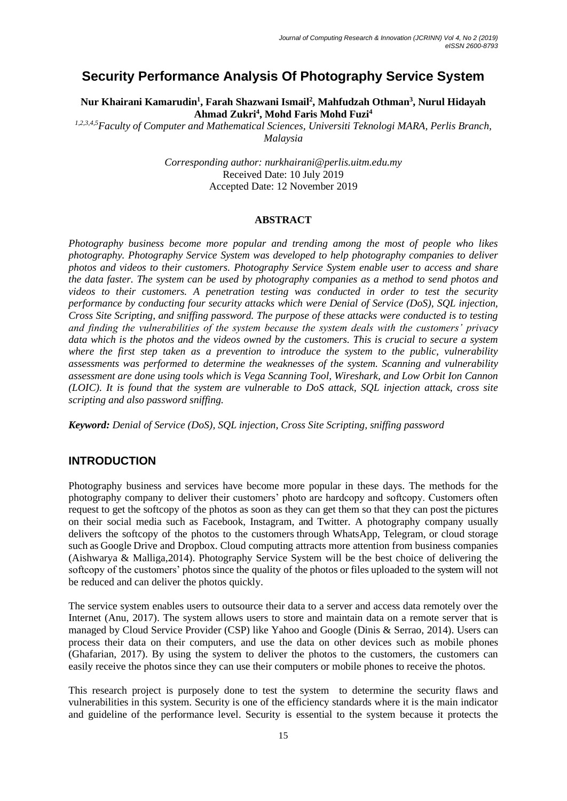# **Security Performance Analysis Of Photography Service System**

**Nur Khairani Kamarudin<sup>1</sup> , Farah Shazwani Ismail<sup>2</sup> , Mahfudzah Othman<sup>3</sup> , Nurul Hidayah Ahmad Zukri<sup>4</sup> , Mohd Faris Mohd Fuzi<sup>4</sup>**

*1,2,3,4,5Faculty of Computer and Mathematical Sciences, Universiti Teknologi MARA, Perlis Branch, Malaysia*

> *Corresponding author: nurkhairani@perlis.uitm.edu.my* Received Date: 10 July 2019 Accepted Date: 12 November 2019

#### **ABSTRACT**

*Photography business become more popular and trending among the most of people who likes photography. Photography Service System was developed to help photography companies to deliver photos and videos to their customers. Photography Service System enable user to access and share the data faster. The system can be used by photography companies as a method to send photos and videos to their customers. A penetration testing was conducted in order to test the security performance by conducting four security attacks which were Denial of Service (DoS), SQL injection, Cross Site Scripting, and sniffing password. The purpose of these attacks were conducted is to testing and finding the vulnerabilities of the system because the system deals with the customers' privacy data which is the photos and the videos owned by the customers. This is crucial to secure a system where the first step taken as a prevention to introduce the system to the public, vulnerability assessments was performed to determine the weaknesses of the system. Scanning and vulnerability assessment are done using tools which is Vega Scanning Tool, Wireshark, and Low Orbit Ion Cannon (LOIC). It is found that the system are vulnerable to DoS attack, SQL injection attack, cross site scripting and also password sniffing.*

*Keyword: Denial of Service (DoS), SQL injection, Cross Site Scripting, sniffing password*

### **INTRODUCTION**

Photography business and services have become more popular in these days. The methods for the photography company to deliver their customers' photo are hardcopy and softcopy. Customers often request to get the softcopy of the photos as soon as they can get them so that they can post the pictures on their social media such as Facebook, Instagram, and Twitter. A photography company usually delivers the softcopy of the photos to the customers through WhatsApp, Telegram, or cloud storage such as Google Drive and Dropbox. Cloud computing attracts more attention from business companies (Aishwarya & Malliga,2014). Photography Service System will be the best choice of delivering the softcopy of the customers' photos since the quality of the photos or files uploaded to the system will not be reduced and can deliver the photos quickly.

The service system enables users to outsource their data to a server and access data remotely over the Internet (Anu, 2017). The system allows users to store and maintain data on a remote server that is managed by Cloud Service Provider (CSP) like Yahoo and Google (Dinis & Serrao, 2014). Users can process their data on their computers, and use the data on other devices such as mobile phones (Ghafarian, 2017). By using the system to deliver the photos to the customers, the customers can easily receive the photos since they can use their computers or mobile phones to receive the photos.

This research project is purposely done to test the system to determine the security flaws and vulnerabilities in this system. Security is one of the efficiency standards where it is the main indicator and guideline of the performance level. Security is essential to the system because it protects the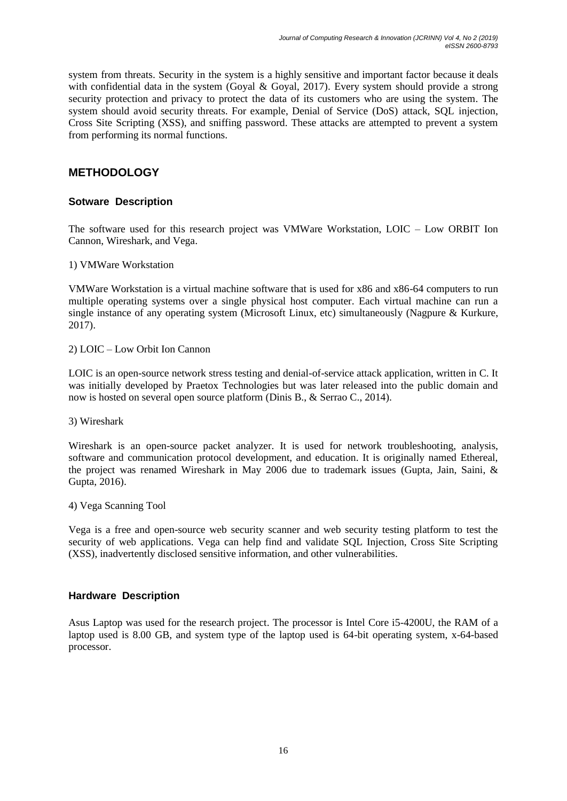system from threats. Security in the system is a highly sensitive and important factor because it deals with confidential data in the system (Goyal & Goyal, 2017). Every system should provide a strong security protection and privacy to protect the data of its customers who are using the system. The system should avoid security threats. For example, Denial of Service (DoS) attack, SQL injection, Cross Site Scripting (XSS), and sniffing password. These attacks are attempted to prevent a system from performing its normal functions.

# **METHODOLOGY**

### **Sotware Description**

The software used for this research project was VMWare Workstation, LOIC – Low ORBIT Ion Cannon, Wireshark, and Vega.

1) VMWare Workstation

VMWare Workstation is a virtual machine software that is used for x86 and x86-64 computers to run multiple operating systems over a single physical host computer. Each virtual machine can run a single instance of any operating system (Microsoft Linux, etc) simultaneously (Nagpure & Kurkure, 2017).

2) LOIC – Low Orbit Ion Cannon

LOIC is an open-source network stress testing and denial-of-service attack application, written in C. It was initially developed by Praetox Technologies but was later released into the public domain and now is hosted on several open source platform (Dinis B., & Serrao C., 2014).

3) Wireshark

Wireshark is an open-source packet analyzer. It is used for network troubleshooting, analysis, software and communication protocol development, and education. It is originally named Ethereal, the project was renamed Wireshark in May 2006 due to trademark issues (Gupta, Jain, Saini, & Gupta, 2016).

4) Vega Scanning Tool

Vega is a free and open-source web security scanner and web security testing platform to test the security of web applications. Vega can help find and validate SQL Injection, Cross Site Scripting (XSS), inadvertently disclosed sensitive information, and other vulnerabilities.

#### **Hardware Description**

Asus Laptop was used for the research project. The processor is Intel Core i5-4200U, the RAM of a laptop used is 8.00 GB, and system type of the laptop used is 64-bit operating system, x-64-based processor.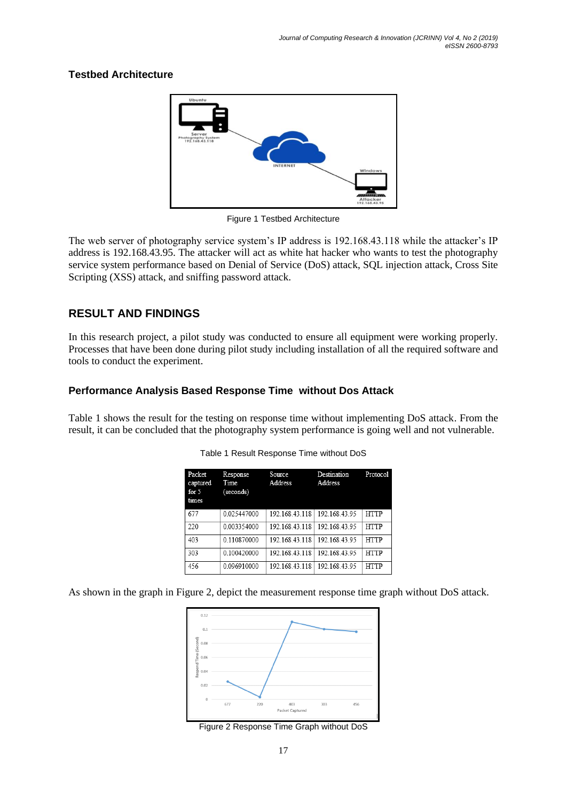#### **Testbed Architecture**



Figure 1 Testbed Architecture

The web server of photography service system's IP address is 192.168.43.118 while the attacker's IP address is 192.168.43.95. The attacker will act as white hat hacker who wants to test the photography service system performance based on Denial of Service (DoS) attack, SQL injection attack, Cross Site Scripting (XSS) attack, and sniffing password attack.

# **RESULT AND FINDINGS**

In this research project, a pilot study was conducted to ensure all equipment were working properly. Processes that have been done during pilot study including installation of all the required software and tools to conduct the experiment.

#### **Performance Analysis Based Response Time without Dos Attack**

Table 1 shows the result for the testing on response time without implementing DoS attack. From the result, it can be concluded that the photography system performance is going well and not vulnerable.

| Packet<br>captured<br>for $5$<br>times | Response<br>Time<br>(seconds) | Source<br>Address | Destination<br>Address | Protocol    |
|----------------------------------------|-------------------------------|-------------------|------------------------|-------------|
| 677                                    | 0.025447000                   | 192.168.43.118    | 192.168.43.95          | <b>HTTP</b> |
| 220                                    | 0.003354000                   | 192.168.43.118    | 192.168.43.95          | <b>HTTP</b> |
| 403                                    | 0.110870000                   | 192.168.43.118    | 192 168 43 95          | <b>HTTP</b> |
| 303                                    | 0.100420000                   | 192.168.43.118    | 192.168.43.95          | <b>HTTP</b> |
| 456                                    | 0.096910000                   | 192.168.43.118    | 192 168 43 95          | <b>HTTP</b> |

Table 1 Result Response Time without DoS

As shown in the graph in Figure 2, depict the measurement response time graph without DoS attack.



Figure 2 Response Time Graph without DoS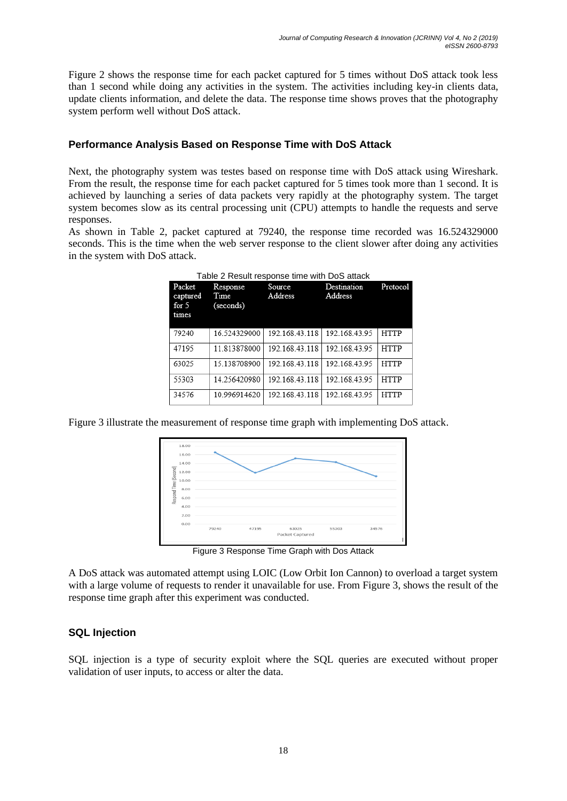Figure 2 shows the response time for each packet captured for 5 times without DoS attack took less than 1 second while doing any activities in the system. The activities including key-in clients data, update clients information, and delete the data. The response time shows proves that the photography system perform well without DoS attack.

#### **Performance Analysis Based on Response Time with DoS Attack**

Next, the photography system was testes based on response time with DoS attack using Wireshark. From the result, the response time for each packet captured for 5 times took more than 1 second. It is achieved by launching a series of data packets very rapidly at the photography system. The target system becomes slow as its central processing unit (CPU) attempts to handle the requests and serve responses.

As shown in Table 2, packet captured at 79240, the response time recorded was 16.524329000 seconds. This is the time when the web server response to the client slower after doing any activities in the system with DoS attack.

| Packet<br>captured<br>for $5$<br>times | Response<br>Time<br>(seconds) | Source<br>Address | Destination<br>Address | Protocol    |
|----------------------------------------|-------------------------------|-------------------|------------------------|-------------|
| 79240                                  | 16.524329000                  | 192.168.43.118    | 192.168.43.95          | <b>HTTP</b> |
| 47195                                  | 11.813878000                  | 192.168.43.118    | 192.168.43.95          | <b>HTTP</b> |
| 63025                                  | 15.138708900                  | 192.168.43.118    | 192.168.43.95          | <b>HTTP</b> |
| 55303                                  | 14.256420980                  | 192.168.43.118    | 192.168.43.95          | <b>HTTP</b> |
| 34576                                  | 10.996914620                  | 192.168.43.118    | 192.168.43.95          | <b>HTTP</b> |

Table 2 Result response time with DoS attack

Figure 3 illustrate the measurement of response time graph with implementing DoS attack.



Figure 3 Response Time Graph with Dos Attack

A DoS attack was automated attempt using LOIC (Low Orbit Ion Cannon) to overload a target system with a large volume of requests to render it unavailable for use. From Figure 3, shows the result of the response time graph after this experiment was conducted.

#### **SQL Injection**

SQL injection is a type of security exploit where the SQL queries are executed without proper validation of user inputs, to access or alter the data.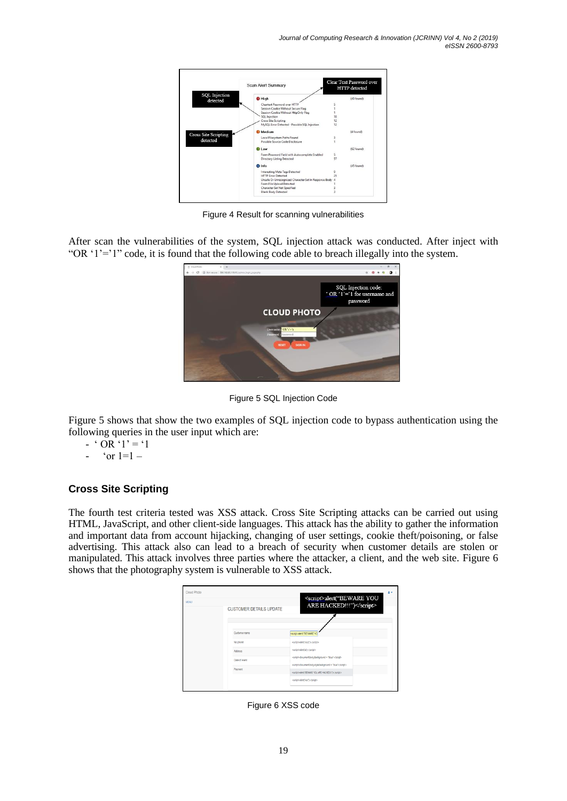|                                  | <b>Scan Alert Summary</b>                               | Clear Text Password over<br>HTTP detected |
|----------------------------------|---------------------------------------------------------|-------------------------------------------|
| <b>SQL</b> Injection<br>detected | <b>O</b> High                                           | (49 found)                                |
|                                  | Cleartest Password over HTTP                            |                                           |
|                                  | Session Cookie Without Secure Flag                      |                                           |
|                                  | Session Cookie Without HttpOnly Flag                    |                                           |
|                                  | SQL Injection                                           | 18                                        |
|                                  | Cross Site Scripting                                    | 12                                        |
|                                  | MySQL Error Detected - Possible SQL Injection           | 12                                        |
| <b>Cross Site Scripting</b>      | Medium                                                  | (4 found)                                 |
|                                  | Local Filesystem Paths Found                            |                                           |
| detected                         | Possible Source Code Disclosure                         |                                           |
|                                  | <b>Diow</b>                                             | (62 found)                                |
|                                  | Form Password Field with Autocomplete Enabled           | 5                                         |
|                                  | Directory Listing Detected                              | 57                                        |
|                                  | <b>O</b> Info                                           | (45 found)                                |
|                                  | Interesting Meta Tags Detected                          | $\mathbf Q$                               |
|                                  | <b>HTTP Frror Detected</b>                              | 25                                        |
|                                  | Unsafe Or Unrecognized Character Set In Response Body 4 |                                           |
|                                  | Form File Upload Detected                               |                                           |
|                                  | Character Set Not Specified                             |                                           |
|                                  | <b>Blank Body Detected</b>                              |                                           |

Figure 4 Result for scanning vulnerabilities

After scan the vulnerabilities of the system, SQL injection attack was conducted. After inject with "OR '1'='1" code, it is found that the following code able to breach illegally into the system.



Figure 5 SQL Injection Code

Figure 5 shows that show the two examples of SQL injection code to bypass authentication using the following queries in the user input which are:

- $\cdot$  ' OR  $\cdot$ 1' = '1
- $\text{or } 1=1-$

### **Cross Site Scripting**

The fourth test criteria tested was XSS attack. Cross Site Scripting attacks can be carried out using HTML, JavaScript, and other client-side languages. This attack has the ability to gather the information and important data from account hijacking, changing of user settings, cookie theft/poisoning, or false advertising. This attack also can lead to a breach of security when customer details are stolen or manipulated. This attack involves three parties where the attacker, a client, and the web site. Figure 6 shows that the photography system is vulnerable to XSS attack.

| Cloud Photo<br><b>MENU</b> | <b>CUSTOMER DETAILS UPDATE</b> | <script>alert("BEWARE YOU<br>ARE HACKED!!!")</script>                                             |
|----------------------------|--------------------------------|---------------------------------------------------------------------------------------------------|
|                            | Customer name                  | <script>alen("BEWARE YO</th></tr><tr><th></th><td>No phone</td><td><script>alert("xss2")</script> |
|                            | Address                        | <script>alentran </script>                                                                        |
|                            | Date of event                  | <script>document.body.background = "blue"</script>                                                |
|                            | Payment                        | <script>document.body.style.background = "blue"</script>                                          |
|                            |                                | <script>alert/"BEWARE YOU ARE HACKED!!!")</script>                                                |
|                            |                                | <script>alert['xss']</script>                                                                     |

Figure 6 XSS code